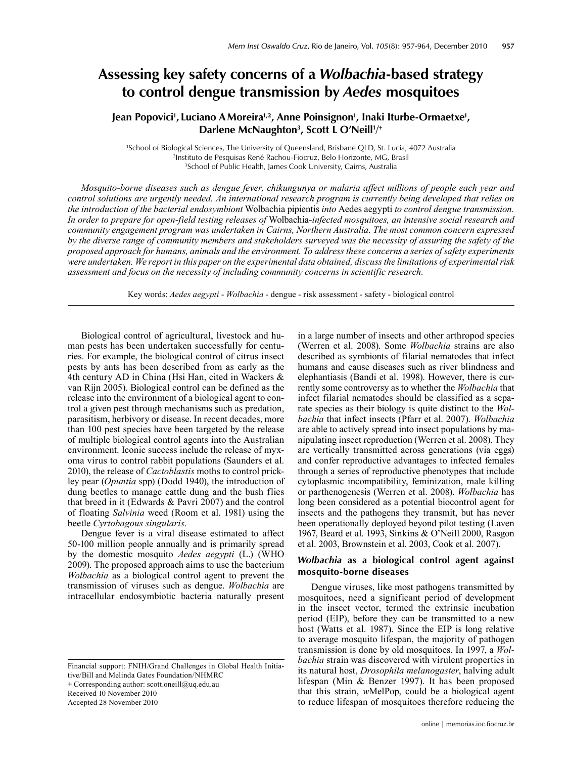# **Assessing key safety concerns of a** *Wolbachia***-based strategy to control dengue transmission by** *Aedes* **mosquitoes**

## Jean Popovici<sup>1</sup>, Luciano A Moreira<sup>1,2</sup>, Anne Poinsignon', Inaki Iturbe-Ormaetxe', Darlene McNaughton<sup>3</sup>, Scott L O'Neill<sup>1</sup>/<sup>+</sup>

1 School of Biological Sciences, The University of Queensland, Brisbane QLD, St. Lucia, 4072 Australia 2 <sup>2</sup>Instituto de Pesquisas René Rachou-Fiocruz, Belo Horizonte, MG, Brasil <sup>3</sup>School of Public Health, James Cook University, Cairns, Australia

*Mosquito-borne diseases such as dengue fever, chikungunya or malaria affect millions of people each year and control solutions are urgently needed. An international research program is currently being developed that relies on the introduction of the bacterial endosymbiont* Wolbachia pipientis *into* Aedes aegypti *to control dengue transmission. In order to prepare for open-field testing releases of* Wolbachia*-infected mosquitoes, an intensive social research and community engagement program was undertaken in Cairns, Northern Australia. The most common concern expressed by the diverse range of community members and stakeholders surveyed was the necessity of assuring the safety of the proposed approach for humans, animals and the environment. To address these concerns a series of safety experiments were undertaken. We report in this paper on the experimental data obtained, discuss the limitations of experimental risk assessment and focus on the necessity of including community concerns in scientific research.* 

Key words: *Aedes aegypti* - *Wolbachia* - dengue - risk assessment - safety - biological control

Biological control of agricultural, livestock and human pests has been undertaken successfully for centuries. For example, the biological control of citrus insect pests by ants has been described from as early as the 4th century AD in China (Hsi Han, cited in Wackers & van Rijn 2005). Biological control can be defined as the release into the environment of a biological agent to control a given pest through mechanisms such as predation, parasitism, herbivory or disease. In recent decades, more than 100 pest species have been targeted by the release of multiple biological control agents into the Australian environment. Iconic success include the release of myxoma virus to control rabbit populations (Saunders et al. 2010), the release of *Cactoblastis* moths to control prickley pear (*Opuntia* spp) (Dodd 1940), the introduction of dung beetles to manage cattle dung and the bush flies that breed in it (Edwards & Pavri 2007) and the control of floating *Salvinia* weed (Room et al. 1981) using the beetle *Cyrtobagous singularis*.

Dengue fever is a viral disease estimated to affect 50-100 million people annually and is primarily spread by the domestic mosquito *Aedes aegypti* (L.) (WHO 2009). The proposed approach aims to use the bacterium *Wolbachia* as a biological control agent to prevent the transmission of viruses such as dengue. *Wolbachia* are intracellular endosymbiotic bacteria naturally present

Financial support: FNIH/Grand Challenges in Global Health Initiative/Bill and Melinda Gates Foundation/NHMRC + Corresponding author: scott.oneill@uq.edu.au Received 10 November 2010

Accepted 28 November 2010

in a large number of insects and other arthropod species (Werren et al. 2008). Some *Wolbachia* strains are also described as symbionts of filarial nematodes that infect humans and cause diseases such as river blindness and elephantiasis (Bandi et al. 1998). However, there is currently some controversy as to whether the *Wolbachia* that infect filarial nematodes should be classified as a separate species as their biology is quite distinct to the *Wolbachia* that infect insects (Pfarr et al. 2007). *Wolbachia* are able to actively spread into insect populations by manipulating insect reproduction (Werren et al. 2008). They are vertically transmitted across generations (via eggs) and confer reproductive advantages to infected females through a series of reproductive phenotypes that include cytoplasmic incompatibility, feminization, male killing or parthenogenesis (Werren et al. 2008). *Wolbachia* has long been considered as a potential biocontrol agent for insects and the pathogens they transmit, but has never been operationally deployed beyond pilot testing (Laven 1967, Beard et al. 1993, Sinkins & O'Neill 2000, Rasgon et al. 2003, Brownstein et al. 2003, Cook et al. 2007).

## *Wolbachia* **as a biological control agent against mosquito-borne diseases**

Dengue viruses, like most pathogens transmitted by mosquitoes, need a significant period of development in the insect vector, termed the extrinsic incubation period (EIP), before they can be transmitted to a new host (Watts et al. 1987). Since the EIP is long relative to average mosquito lifespan, the majority of pathogen transmission is done by old mosquitoes. In 1997, a *Wolbachia* strain was discovered with virulent properties in its natural host, *Drosophila melanogaster*, halving adult lifespan (Min & Benzer 1997). It has been proposed that this strain, *w*MelPop, could be a biological agent to reduce lifespan of mosquitoes therefore reducing the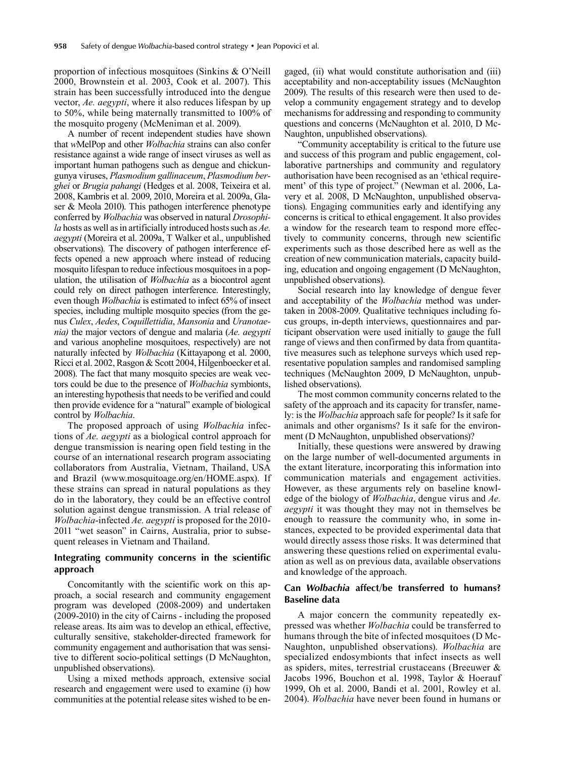proportion of infectious mosquitoes (Sinkins & O'Neill 2000, Brownstein et al. 2003, Cook et al. 2007). This strain has been successfully introduced into the dengue vector, *Ae. aegypti*, where it also reduces lifespan by up to 50%, while being maternally transmitted to 100% of the mosquito progeny (McMeniman et al. 2009).

A number of recent independent studies have shown that *w*MelPop and other *Wolbachia* strains can also confer resistance against a wide range of insect viruses as well as important human pathogens such as dengue and chickungunya viruses, *Plasmodium gallinaceum*, *Plasmodium berghei* or *Brugia pahangi* (Hedges et al. 2008, Teixeira et al. 2008, Kambris et al. 2009, 2010, Moreira et al. 2009a, Glaser & Meola 2010). This pathogen interference phenotype conferred by *Wolbachia* was observed in natural *Drosophila* hosts as well as in artificially introduced hosts such as *Ae. aegypti* (Moreira et al. 2009a, T Walker et al., unpublished observations). The discovery of pathogen interference effects opened a new approach where instead of reducing mosquito lifespan to reduce infectious mosquitoes in a population, the utilisation of *Wolbachia* as a biocontrol agent could rely on direct pathogen interference. Interestingly, even though *Wolbachia* is estimated to infect 65% of insect species, including multiple mosquito species (from the genus *Culex*, *Aedes*, *Coquillettidia*, *Mansonia* and *Uranotaenia)* the major vectors of dengue and malaria (*Ae. aegypti* and various anopheline mosquitoes, respectively) are not naturally infected by *Wolbachia* (Kittayapong et al. 2000, Ricci et al. 2002, Rasgon & Scott 2004, Hilgenboecker et al. 2008). The fact that many mosquito species are weak vectors could be due to the presence of *Wolbachia* symbionts, an interesting hypothesis that needs to be verified and could then provide evidence for a "natural" example of biological control by *Wolbachia*.

The proposed approach of using *Wolbachia* infections of *Ae. aegypti* as a biological control approach for dengue transmission is nearing open field testing in the course of an international research program associating collaborators from Australia, Vietnam, Thailand, USA and Brazil (www.mosquitoage.org/en/HOME.aspx). If these strains can spread in natural populations as they do in the laboratory, they could be an effective control solution against dengue transmission. A trial release of *Wolbachia*-infected *Ae. aegypti* is proposed for the 2010- 2011 "wet season" in Cairns, Australia, prior to subsequent releases in Vietnam and Thailand.

## **Integrating community concerns in the scientific approach**

Concomitantly with the scientific work on this approach, a social research and community engagement program was developed (2008-2009) and undertaken (2009-2010) in the city of Cairns - including the proposed release areas. Its aim was to develop an ethical, effective, culturally sensitive, stakeholder-directed framework for community engagement and authorisation that was sensitive to different socio-political settings (D McNaughton, unpublished observations).

Using a mixed methods approach, extensive social research and engagement were used to examine (i) how communities at the potential release sites wished to be engaged, (ii) what would constitute authorisation and (iii) acceptability and non-acceptability issues (McNaughton 2009). The results of this research were then used to develop a community engagement strategy and to develop mechanisms for addressing and responding to community questions and concerns (McNaughton et al. 2010, D Mc-Naughton, unpublished observations).

"Community acceptability is critical to the future use and success of this program and public engagement, collaborative partnerships and community and regulatory authorisation have been recognised as an 'ethical requirement' of this type of project." (Newman et al. 2006, Lavery et al. 2008, D McNaughton, unpublished observations). Engaging communities early and identifying any concerns is critical to ethical engagement. It also provides a window for the research team to respond more effectively to community concerns, through new scientific experiments such as those described here as well as the creation of new communication materials, capacity building, education and ongoing engagement (D McNaughton, unpublished observations).

Social research into lay knowledge of dengue fever and acceptability of the *Wolbachia* method was undertaken in 2008-2009. Qualitative techniques including focus groups, in-depth interviews, questionnaires and participant observation were used initially to gauge the full range of views and then confirmed by data from quantitative measures such as telephone surveys which used representative population samples and randomised sampling techniques (McNaughton 2009, D McNaughton, unpublished observations).

The most common community concerns related to the safety of the approach and its capacity for transfer, namely: is the *Wolbachia* approach safe for people? Is it safe for animals and other organisms? Is it safe for the environment (D McNaughton, unpublished observations)?

Initially, these questions were answered by drawing on the large number of well-documented arguments in the extant literature, incorporating this information into communication materials and engagement activities. However, as these arguments rely on baseline knowledge of the biology of *Wolbachia*, dengue virus and *Ae. aegypti* it was thought they may not in themselves be enough to reassure the community who, in some instances, expected to be provided experimental data that would directly assess those risks. It was determined that answering these questions relied on experimental evaluation as well as on previous data, available observations and knowledge of the approach.

## **Can** *Wolbachia* **affect/be transferred to humans? Baseline data**

A major concern the community repeatedly expressed was whether *Wolbachia* could be transferred to humans through the bite of infected mosquitoes (D Mc-Naughton, unpublished observations). *Wolbachia* are specialized endosymbionts that infect insects as well as spiders, mites, terrestrial crustaceans (Breeuwer & Jacobs 1996, Bouchon et al. 1998, Taylor & Hoerauf 1999, Oh et al. 2000, Bandi et al. 2001, Rowley et al. 2004). *Wolbachia* have never been found in humans or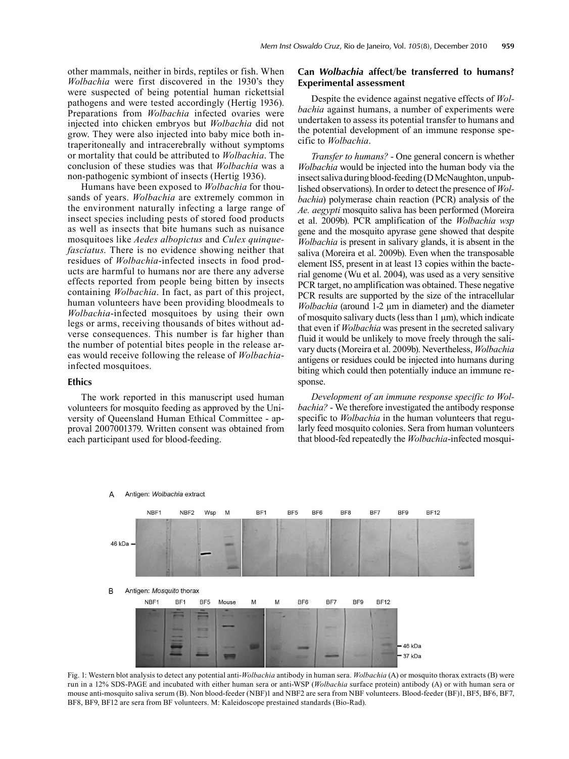other mammals, neither in birds, reptiles or fish. When *Wolbachia* were first discovered in the 1930's they were suspected of being potential human rickettsial pathogens and were tested accordingly (Hertig 1936). Preparations from *Wolbachia* infected ovaries were injected into chicken embryos but *Wolbachia* did not grow. They were also injected into baby mice both intraperitoneally and intracerebrally without symptoms or mortality that could be attributed to *Wolbachia*. The conclusion of these studies was that *Wolbachia* was a non-pathogenic symbiont of insects (Hertig 1936).

Humans have been exposed to *Wolbachia* for thousands of years. *Wolbachia* are extremely common in the environment naturally infecting a large range of insect species including pests of stored food products as well as insects that bite humans such as nuisance mosquitoes like *Aedes albopictus* and *Culex quinquefasciatus*. There is no evidence showing neither that residues of *Wolbachia*-infected insects in food products are harmful to humans nor are there any adverse effects reported from people being bitten by insects containing *Wolbachia*. In fact, as part of this project, human volunteers have been providing bloodmeals to *Wolbachia*-infected mosquitoes by using their own legs or arms, receiving thousands of bites without adverse consequences. This number is far higher than the number of potential bites people in the release areas would receive following the release of *Wolbachia*infected mosquitoes.

#### **Ethics**

The work reported in this manuscript used human volunteers for mosquito feeding as approved by the University of Queensland Human Ethical Committee - approval 2007001379. Written consent was obtained from each participant used for blood-feeding.

#### **Can** *Wolbachia* **affect/be transferred to humans? Experimental assessment**

Despite the evidence against negative effects of *Wolbachia* against humans, a number of experiments were undertaken to assess its potential transfer to humans and the potential development of an immune response specific to *Wolbachia*.

*Transfer to humans?* - One general concern is whether *Wolbachia* would be injected into the human body via the insect saliva during blood-feeding (D McNaughton, unpublished observations). In order to detect the presence of *Wolbachia*) polymerase chain reaction (PCR) analysis of the *Ae. aegypti* mosquito saliva has been performed (Moreira et al. 2009b). PCR amplification of the *Wolbachia wsp* gene and the mosquito apyrase gene showed that despite *Wolbachia* is present in salivary glands, it is absent in the saliva (Moreira et al. 2009b). Even when the transposable element IS5, present in at least 13 copies within the bacterial genome (Wu et al. 2004), was used as a very sensitive PCR target, no amplification was obtained. These negative PCR results are supported by the size of the intracellular *Wolbachia* (around 1-2 μm in diameter) and the diameter of mosquito salivary ducts (less than  $1 \mu m$ ), which indicate that even if *Wolbachia* was present in the secreted salivary fluid it would be unlikely to move freely through the salivary ducts (Moreira et al. 2009b). Nevertheless, *Wolbachia*  antigens or residues could be injected into humans during biting which could then potentially induce an immune response.

*Development of an immune response specific to Wolbachia?* - We therefore investigated the antibody response specific to *Wolbachia* in the human volunteers that regularly feed mosquito colonies. Sera from human volunteers that blood-fed repeatedly the *Wolbachia*-infected mosqui-



Fig. 1: Western blot analysis to detect any potential anti-*Wolbachia* antibody in human sera. *Wolbachia* (A) or mosquito thorax extracts (B) were run in a 12% SDS-PAGE and incubated with either human sera or anti-WSP (*Wolbachia* surface protein) antibody (A) or with human sera or mouse anti-mosquito saliva serum (B). Non blood-feeder (NBF)1 and NBF2 are sera from NBF volunteers. blood-feeder (BF)1, BF5, BF6, BF7, BF8, BF9, BF12 are sera from BF volunteers. M: Kaleidoscope prestained standards (Bio-Rad).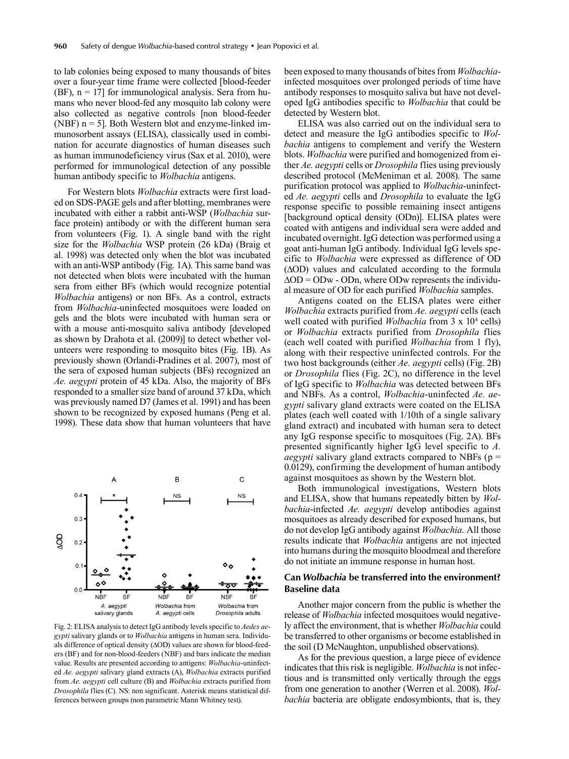to lab colonies being exposed to many thousands of bites over a four-year time frame were collected [blood-feeder  $(BF)$ , n = 17] for immunological analysis. Sera from humans who never blood-fed any mosquito lab colony were also collected as negative controls [non blood-feeder (NBF)  $n = 5$ ]. Both Western blot and enzyme-linked immunosorbent assays (ELISA), classically used in combination for accurate diagnostics of human diseases such as human immunodeficiency virus (Sax et al. 2010), were performed for immunological detection of any possible human antibody specific to *Wolbachia* antigens.

For Western blots *Wolbachia* extracts were first loaded on SDS-PAGE gels and after blotting, membranes were incubated with either a rabbit anti-WSP (*Wolbachia* surface protein) antibody or with the different human sera from volunteers (Fig. 1). A single band with the right size for the *Wolbachia* WSP protein (26 kDa) (Braig et al. 1998) was detected only when the blot was incubated with an anti-WSP antibody (Fig. 1A). This same band was not detected when blots were incubated with the human sera from either BFs (which would recognize potential *Wolbachia* antigens) or non BFs. As a control, extracts from *Wolbachia*-uninfected mosquitoes were loaded on gels and the blots were incubated with human sera or with a mouse anti-mosquito saliva antibody [developed as shown by Drahota et al. (2009)] to detect whether volunteers were responding to mosquito bites (Fig. 1B). As previously shown (Orlandi-Pradines et al. 2007), most of the sera of exposed human subjects (BFs) recognized an *Ae. aegypti* protein of 45 kDa. Also, the majority of BFs responded to a smaller size band of around 37 kDa, which was previously named D7 (James et al. 1991) and has been shown to be recognized by exposed humans (Peng et al. 1998). These data show that human volunteers that have



Fig. 2: ELISA analysis to detect IgG antibody levels specific to *Aedes aegypti* salivary glands or to *Wolbachia* antigens in human sera. Individuals difference of optical density (∆OD) values are shown for blood-feeders (BF) and for non-blood-feeders (NBF) and bars indicate the median value. Results are presented according to antigens: *Wolbachia*-uninfected *Ae. aegypti* salivary gland extracts (A), *Wolbachia* extracts purified from *Ae. aegypti* cell culture (B) and *Wolbachia* extracts purified from *Drosophila* flies (C). NS: non significant. Asterisk means statistical differences between groups (non parametric Mann Whitney test).

been exposed to many thousands of bites from *Wolbachia*infected mosquitoes over prolonged periods of time have antibody responses to mosquito saliva but have not developed IgG antibodies specific to *Wolbachia* that could be detected by Western blot.

ELISA was also carried out on the individual sera to detect and measure the IgG antibodies specific to *Wolbachia* antigens to complement and verify the Western blots. *Wolbachia* were purified and homogenized from either *Ae. aegypti* cells or *Drosophila* flies using previously described protocol (McMeniman et al. 2008). The same purification protocol was applied to *Wolbachia*-uninfected *Ae. aegypti* cells and *Drosophila* to evaluate the IgG response specific to possible remaining insect antigens [background optical density (ODn)]. ELISA plates were coated with antigens and individual sera were added and incubated overnight. IgG detection was performed using a goat anti-human IgG antibody. Individual IgG levels specific to *Wolbachia* were expressed as difference of OD (∆OD) values and calculated according to the formula  $\Delta OD = ODw - ODn$ , where ODw represents the individual measure of OD for each purified *Wolbachia* samples.

Antigens coated on the ELISA plates were either *Wolbachia* extracts purified from *Ae. aegypti* cells (each well coated with purified *Wolbachia* from 3 x 10<sup>4</sup> cells) or *Wolbachia* extracts purified from *Drosophila* flies (each well coated with purified *Wolbachia* from 1 fly), along with their respective uninfected controls. For the two host backgrounds (either *Ae. aegypti* cells) (Fig. 2B) or *Drosophila* flies (Fig. 2C), no difference in the level of IgG specific to *Wolbachia* was detected between BFs and NBFs. As a control, *Wolbachia*-uninfected *Ae. aegypti* salivary gland extracts were coated on the ELISA plates (each well coated with 1/10th of a single salivary gland extract) and incubated with human sera to detect any IgG response specific to mosquitoes (Fig. 2A). BFs presented significantly higher IgG level specific to *A. aegypti* salivary gland extracts compared to NBFs (p = 0.0129), confirming the development of human antibody against mosquitoes as shown by the Western blot.

Both immunological investigations, Western blots and ELISA, show that humans repeatedly bitten by *Wolbachia*-infected *Ae. aegypti* develop antibodies against mosquitoes as already described for exposed humans, but do not develop IgG antibody against *Wolbachia.* All those results indicate that *Wolbachia* antigens are not injected into humans during the mosquito bloodmeal and therefore do not initiate an immune response in human host.

## **Can** *Wolbachia* **be transferred into the environment? Baseline data**

Another major concern from the public is whether the release of *Wolbachia* infected mosquitoes would negatively affect the environment, that is whether *Wolbachia* could be transferred to other organisms or become established in the soil (D McNaughton, unpublished observations).

As for the previous question, a large piece of evidence indicates that this risk is negligible. *Wolbachia* is not infectious and is transmitted only vertically through the eggs from one generation to another (Werren et al. 2008). *Wolbachia* bacteria are obligate endosymbionts, that is, they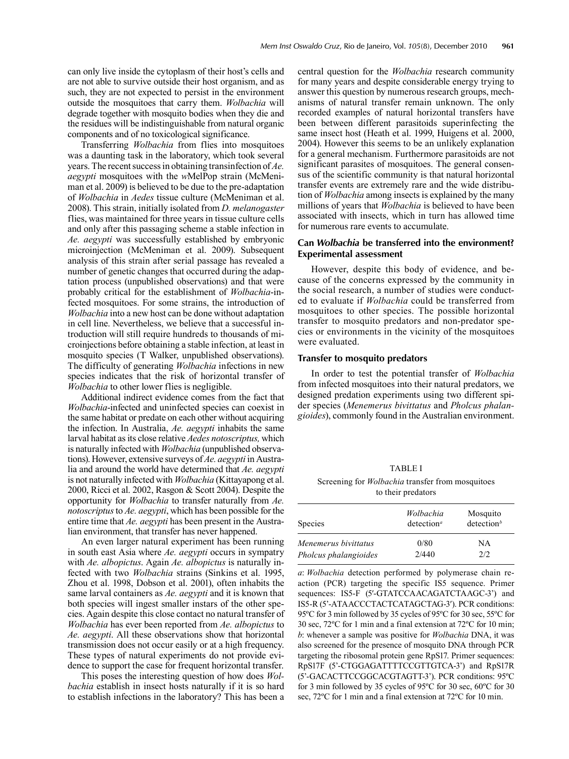can only live inside the cytoplasm of their host's cells and are not able to survive outside their host organism, and as such, they are not expected to persist in the environment outside the mosquitoes that carry them. *Wolbachia* will degrade together with mosquito bodies when they die and the residues will be indistinguishable from natural organic components and of no toxicological significance.

Transferring *Wolbachia* from flies into mosquitoes was a daunting task in the laboratory, which took several years. The recent success in obtaining transinfection of *Ae. aegypti* mosquitoes with the *w*MelPop strain (McMeniman et al. 2009) is believed to be due to the pre-adaptation of *Wolbachia* in *Aedes* tissue culture (McMeniman et al. 2008). This strain, initially isolated from *D. melanogaster* flies, was maintained for three years in tissue culture cells and only after this passaging scheme a stable infection in *Ae. aegypti* was successfully established by embryonic microinjection (McMeniman et al. 2009). Subsequent analysis of this strain after serial passage has revealed a number of genetic changes that occurred during the adaptation process (unpublished observations) and that were probably critical for the establishment of *Wolbachia*-infected mosquitoes. For some strains, the introduction of *Wolbachia* into a new host can be done without adaptation in cell line. Nevertheless, we believe that a successful introduction will still require hundreds to thousands of microinjections before obtaining a stable infection, at least in mosquito species (T Walker, unpublished observations). The difficulty of generating *Wolbachia* infections in new species indicates that the risk of horizontal transfer of *Wolbachia* to other lower flies is negligible.

Additional indirect evidence comes from the fact that *Wolbachia*-infected and uninfected species can coexist in the same habitat or predate on each other without acquiring the infection. In Australia, *Ae. aegypti* inhabits the same larval habitat as its close relative *Aedes notoscriptus,* which is naturally infected with *Wolbachia* (unpublished observations). However, extensive surveys of *Ae. aegypti* in Australia and around the world have determined that *Ae. aegypti* is not naturally infected with *Wolbachia* (Kittayapong et al. 2000, Ricci et al. 2002, Rasgon & Scott 2004). Despite the opportunity for *Wolbachia* to transfer naturally from *Ae. notoscriptus* to *Ae. aegypti*, which has been possible for the entire time that *Ae. aegypti* has been present in the Australian environment, that transfer has never happened.

An even larger natural experiment has been running in south east Asia where *Ae. aegypti* occurs in sympatry with *Ae. albopictus*. Again *Ae. albopictus* is naturally infected with two *Wolbachia* strains (Sinkins et al. 1995, Zhou et al. 1998, Dobson et al. 2001), often inhabits the same larval containers as *Ae. aegypti* and it is known that both species will ingest smaller instars of the other species. Again despite this close contact no natural transfer of *Wolbachia* has ever been reported from *Ae. albopictus* to *Ae. aegypti*. All these observations show that horizontal transmission does not occur easily or at a high frequency. These types of natural experiments do not provide evidence to support the case for frequent horizontal transfer.

This poses the interesting question of how does *Wolbachia* establish in insect hosts naturally if it is so hard to establish infections in the laboratory? This has been a central question for the *Wolbachia* research community for many years and despite considerable energy trying to answer this question by numerous research groups, mechanisms of natural transfer remain unknown. The only recorded examples of natural horizontal transfers have been between different parasitoids superinfecting the same insect host (Heath et al. 1999, Huigens et al. 2000, 2004). However this seems to be an unlikely explanation for a general mechanism. Furthermore parasitoids are not significant parasites of mosquitoes. The general consensus of the scientific community is that natural horizontal transfer events are extremely rare and the wide distribution of *Wolbachia* among insects is explained by the many millions of years that *Wolbachia* is believed to have been associated with insects, which in turn has allowed time for numerous rare events to accumulate.

### **Can** *Wolbachia* **be transferred into the environment? Experimental assessment**

However, despite this body of evidence, and because of the concerns expressed by the community in the social research, a number of studies were conducted to evaluate if *Wolbachia* could be transferred from mosquitoes to other species. The possible horizontal transfer to mosquito predators and non-predator species or environments in the vicinity of the mosquitoes were evaluated.

#### **Transfer to mosquito predators**

In order to test the potential transfer of *Wolbachia* from infected mosquitoes into their natural predators, we designed predation experiments using two different spider species (*Menemerus bivittatus* and *Pholcus phalangioides*), commonly found in the Australian environment.

Table I Screening for *Wolbachia* transfer from mosquitoes to their predators

| <b>Species</b>        | Wolbachia<br>detection <sup>a</sup> | Mosquito<br>detection <sup>b</sup> |
|-----------------------|-------------------------------------|------------------------------------|
| Menemerus bivittatus  | 0/80                                | NΑ                                 |
| Pholcus phalangioides | 2/440                               | 2/2                                |

*a*: *Wolbachia* detection performed by polymerase chain reaction (PCR) targeting the specific IS5 sequence. primer sequences: IS5-F (5′-GTATCCAACAGATCTAAGC-3') and IS5-R (5'-ATAACCCTACTCATAGCTAG-3′). PCR conditions: 95ºC for 3 min followed by 35 cycles of 95ºC for 30 sec, 55ºC for 30 sec, 72ºC for 1 min and a final extension at 72ºC for 10 min; *b*: whenever a sample was positive for *Wolbachia* DNA, it was also screened for the presence of mosquito DNA through PCR targeting the ribosomal protein gene RpS17. Primer sequences: RpS17F (5'-CTGGAGATTTTCCGTTGTCA-3') and RpS17R (5'-GACACTTCCGGCACGTAGTT-3'). PCR conditions: 95ºC for 3 min followed by 35 cycles of 95ºC for 30 sec, 60ºC for 30 sec, 72ºC for 1 min and a final extension at 72ºC for 10 min.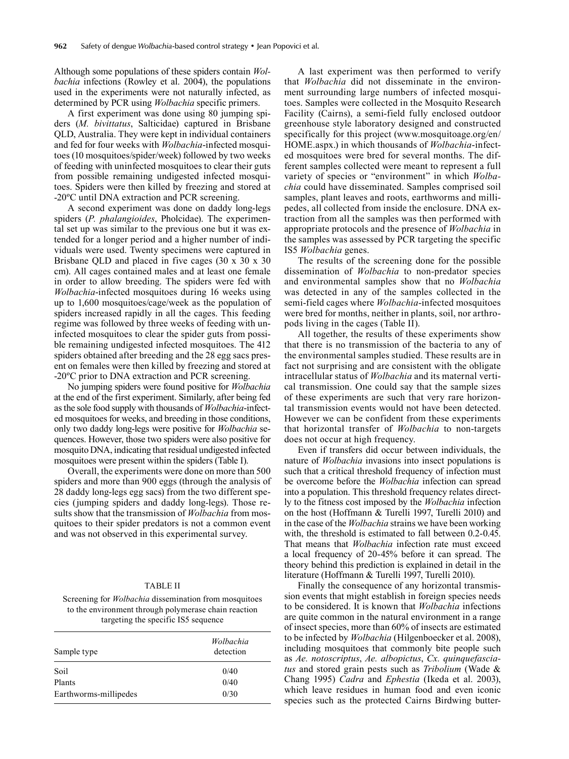Although some populations of these spiders contain *Wolbachia* infections (Rowley et al. 2004), the populations used in the experiments were not naturally infected, as determined by PCR using *Wolbachia* specific primers.

A first experiment was done using 80 jumping spiders (*M. bivittatus*, Salticidae) captured in Brisbane QLD, Australia. They were kept in individual containers and fed for four weeks with *Wolbachia*-infected mosquitoes (10 mosquitoes/spider/week) followed by two weeks of feeding with uninfected mosquitoes to clear their guts from possible remaining undigested infected mosquitoes. Spiders were then killed by freezing and stored at -20ºC until DNA extraction and PCR screening.

A second experiment was done on daddy long-legs spiders (*P. phalangioides*, Pholcidae). The experimental set up was similar to the previous one but it was extended for a longer period and a higher number of individuals were used. Twenty specimens were captured in Brisbane OLD and placed in five cages (30 x 30 x 30) cm). All cages contained males and at least one female in order to allow breeding. The spiders were fed with *Wolbachia*-infected mosquitoes during 16 weeks using up to 1,600 mosquitoes/cage/week as the population of spiders increased rapidly in all the cages. This feeding regime was followed by three weeks of feeding with uninfected mosquitoes to clear the spider guts from possible remaining undigested infected mosquitoes. The 412 spiders obtained after breeding and the 28 egg sacs present on females were then killed by freezing and stored at -20ºC prior to DNA extraction and PCR screening.

No jumping spiders were found positive for *Wolbachia* at the end of the first experiment. Similarly, after being fed as the sole food supply with thousands of *Wolbachia*-infected mosquitoes for weeks, and breeding in those conditions, only two daddy long-legs were positive for *Wolbachia* sequences. However, those two spiders were also positive for mosquito DNA, indicating that residual undigested infected mosquitoes were present within the spiders (Table I).

Overall, the experiments were done on more than 500 spiders and more than 900 eggs (through the analysis of 28 daddy long-legs egg sacs) from the two different species (jumping spiders and daddy long-legs). Those results show that the transmission of *Wolbachia* from mosquitoes to their spider predators is not a common event and was not observed in this experimental survey.

#### Table II

### Screening for *Wolbachia* dissemination from mosquitoes to the environment through polymerase chain reaction targeting the specific IS5 sequence

| Sample type           | Wolbachia<br>detection |
|-----------------------|------------------------|
| Soil                  | 0/40                   |
| Plants                | 0/40                   |
| Earthworms-millipedes | 0/30                   |

A last experiment was then performed to verify that *Wolbachia* did not disseminate in the environment surrounding large numbers of infected mosquitoes. Samples were collected in the Mosquito Research Facility (Cairns), a semi-field fully enclosed outdoor greenhouse style laboratory designed and constructed specifically for this project (www.mosquitoage.org/en/ HOME.aspx.) in which thousands of *Wolbachia*-infected mosquitoes were bred for several months. The different samples collected were meant to represent a full variety of species or "environment" in which *Wolbachia* could have disseminated. Samples comprised soil samples, plant leaves and roots, earthworms and millipedes, all collected from inside the enclosure. DNA extraction from all the samples was then performed with appropriate protocols and the presence of *Wolbachia* in the samples was assessed by PCR targeting the specific IS5 *Wolbachia* genes.

The results of the screening done for the possible dissemination of *Wolbachia* to non-predator species and environmental samples show that no *Wolbachia* was detected in any of the samples collected in the semi-field cages where *Wolbachia*-infected mosquitoes were bred for months, neither in plants, soil, nor arthropods living in the cages (Table II).

All together, the results of these experiments show that there is no transmission of the bacteria to any of the environmental samples studied. These results are in fact not surprising and are consistent with the obligate intracellular status of *Wolbachia* and its maternal vertical transmission. One could say that the sample sizes of these experiments are such that very rare horizontal transmission events would not have been detected. However we can be confident from these experiments that horizontal transfer of *Wolbachia* to non-targets does not occur at high frequency.

Even if transfers did occur between individuals, the nature of *Wolbachia* invasions into insect populations is such that a critical threshold frequency of infection must be overcome before the *Wolbachia* infection can spread into a population. This threshold frequency relates directly to the fitness cost imposed by the *Wolbachia* infection on the host (Hoffmann & Turelli 1997, Turelli 2010) and in the case of the *Wolbachia* strains we have been working with, the threshold is estimated to fall between 0.2-0.45. That means that *Wolbachia* infection rate must exceed a local frequency of 20-45% before it can spread. The theory behind this prediction is explained in detail in the literature (Hoffmann & Turelli 1997, Turelli 2010).

Finally the consequence of any horizontal transmission events that might establish in foreign species needs to be considered. It is known that *Wolbachia* infections are quite common in the natural environment in a range of insect species, more than 60% of insects are estimated to be infected by *Wolbachia* (Hilgenboecker et al. 2008), including mosquitoes that commonly bite people such as *Ae. notoscriptus*, *Ae. albopictus*, *Cx. quinquefasciatus* and stored grain pests such as *Tribolium* (Wade & Chang 1995) *Cadra* and *Ephestia* (Ikeda et al. 2003), which leave residues in human food and even iconic species such as the protected Cairns Birdwing butter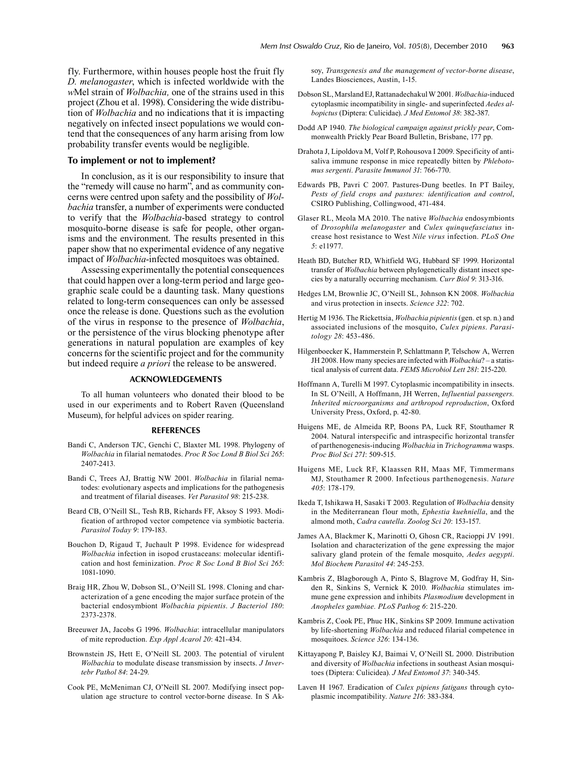fly. Furthermore, within houses people host the fruit fly *D. melanogaster*, which is infected worldwide with the *w*Mel strain of *Wolbachia,* one of the strains used in this project (Zhou et al. 1998). Considering the wide distribution of *Wolbachia* and no indications that it is impacting negatively on infected insect populations we would contend that the consequences of any harm arising from low probability transfer events would be negligible.

#### **To implement or not to implement?**

In conclusion, as it is our responsibility to insure that the "remedy will cause no harm", and as community concerns were centred upon safety and the possibility of *Wolbachia* transfer, a number of experiments were conducted to verify that the *Wolbachia*-based strategy to control mosquito-borne disease is safe for people, other organisms and the environment. The results presented in this paper show that no experimental evidence of any negative impact of *Wolbachia*-infected mosquitoes was obtained.

Assessing experimentally the potential consequences that could happen over a long-term period and large geographic scale could be a daunting task. Many questions related to long-term consequences can only be assessed once the release is done. Questions such as the evolution of the virus in response to the presence of *Wolbachia*, or the persistence of the virus blocking phenotype after generations in natural population are examples of key concerns for the scientific project and for the community but indeed require *a priori* the release to be answered.

#### **Acknowledgements**

To all human volunteers who donated their blood to be used in our experiments and to Robert Raven (Queensland Museum), for helpful advices on spider rearing.

#### **References**

- Bandi C, Anderson TJC, Genchi C, Blaxter ML 1998. Phylogeny of *Wolbachia* in filarial nematodes. *Proc R Soc Lond B Biol Sci 265*: 2407-2413.
- Bandi C, Trees AJ, Brattig NW 2001. *Wolbachia* in filarial nematodes: evolutionary aspects and implications for the pathogenesis and treatment of filarial diseases. *Vet Parasitol 98*: 215-238.
- Beard CB, O'Neill SL, Tesh RB, Richards FF, Aksoy S 1993. Modification of arthropod vector competence via symbiotic bacteria. *Parasitol Today 9*: 179-183.
- Bouchon D, Rigaud T, Juchault P 1998. Evidence for widespread *Wolbachia* infection in isopod crustaceans: molecular identification and host feminization. *Proc R Soc Lond B Biol Sci 265*: 1081-1090.
- Braig HR, Zhou W, Dobson SL, O'Neill SL 1998. Cloning and characterization of a gene encoding the major surface protein of the bacterial endosymbiont *Wolbachia pipientis*. *J Bacteriol 180*: 2373-2378.
- Breeuwer JA, Jacobs G 1996. *Wolbachia*: intracellular manipulators of mite reproduction. *Exp Appl Acarol 20*: 421-434.
- Brownstein JS, Hett E, O'Neill SL 2003. The potential of virulent *Wolbachia* to modulate disease transmission by insects. *J Invertebr Pathol 84*: 24-29.
- Cook PE, McMeniman CJ, O'Neill SL 2007. Modifying insect population age structure to control vector-borne disease. In S Ak-

soy, *Transgenesis and the management of vector-borne disease*, Landes Biosciences, Austin, 1-15.

- Dobson SL, Marsland EJ, Rattanadechakul W 2001. *Wolbachia*-induced cytoplasmic incompatibility in single- and superinfected *Aedes albopictus* (Diptera: Culicidae). *J Med Entomol 38*: 382-387.
- Dodd AP 1940. *The biological campaign against prickly pear*, Commonwealth Prickly Pear Board Bulletin, Brisbane, 177 pp.
- Drahota J, Lipoldova M, Volf P, Rohousova I 2009. Specificity of antisaliva immune response in mice repeatedly bitten by *Phlebotomus sergenti*. *Parasite Immunol 31*: 766-770.
- Edwards PB, Pavri C 2007. Pastures-Dung beetles. In PT Bailey, *Pests of field crops and pastures: identification and control*, CSIRO Publishing, Collingwood, 471-484.
- Glaser RL, Meola MA 2010. The native *Wolbachia* endosymbionts of *Drosophila melanogaster* and *Culex quinquefasciatus* increase host resistance to West *Nile virus* infection. *PLoS One 5*: e11977.
- Heath BD, Butcher RD, Whitfield WG, Hubbard SF 1999. Horizontal transfer of *Wolbachia* between phylogenetically distant insect species by a naturally occurring mechanism. *Curr Biol 9*: 313-316.
- Hedges LM, Brownlie JC, O'Neill SL, Johnson KN 2008. *Wolbachia* and virus protection in insects. *Science 322*: 702.
- Hertig M 1936. The Rickettsia, *Wolbachia pipientis* (gen. et sp. n.) and associated inclusions of the mosquito, *Culex pipiens*. *Parasitology 28*: 453-486.
- Hilgenboecker K, Hammerstein P, Schlattmann P, Telschow A, Werren JH 2008. How many species are infected with *Wolbachia*? – a statistical analysis of current data. *FEMS Microbiol Lett 281*: 215-220.
- Hoffmann A, Turelli M 1997. Cytoplasmic incompatibility in insects. In SL O'Neill, A Hoffmann, JH Werren, *Influential passengers. Inherited microorganisms and arthropod reproduction*, Oxford University Press, Oxford, p. 42-80.
- Huigens ME, de Almeida RP, Boons PA, Luck RF, Stouthamer R 2004. Natural interspecific and intraspecific horizontal transfer of parthenogenesis-inducing *Wolbachia* in *Trichogramma* wasps. *Proc Biol Sci 271*: 509-515.
- Huigens ME, Luck RF, Klaassen RH, Maas MF, Timmermans MJ, Stouthamer R 2000. Infectious parthenogenesis. *Nature 405*: 178-179.
- Ikeda T, Ishikawa H, Sasaki T 2003. Regulation of *Wolbachia* density in the Mediterranean flour moth, *Ephestia kuehniella*, and the almond moth, *Cadra cautella*. *Zoolog Sci 20*: 153-157.
- James AA, Blackmer K, Marinotti O, Ghosn CR, Racioppi JV 1991. Isolation and characterization of the gene expressing the major salivary gland protein of the female mosquito, *Aedes aegypti*. *Mol Biochem Parasitol 44*: 245-253.
- Kambris Z, Blagborough A, Pinto S, Blagrove M, Godfray H, Sinden R, Sinkins S, Vernick K 2010. *Wolbachia* stimulates immune gene expression and inhibits *Plasmodium* development in *Anopheles gambiae. PLoS Pathog 6*: 215-220.
- Kambris Z, Cook PE, Phuc HK, Sinkins SP 2009. Immune activation by life-shortening *Wolbachia* and reduced filarial competence in mosquitoes. *Science 326*: 134-136.
- Kittayapong P, Baisley KJ, Baimai V, O'Neill SL 2000. Distribution and diversity of *Wolbachia* infections in southeast Asian mosquitoes (Diptera: Culicidea). *J Med Entomol 37*: 340-345.
- Laven H 1967. Eradication of *Culex pipiens fatigans* through cytoplasmic incompatibility. *Nature 216*: 383-384.